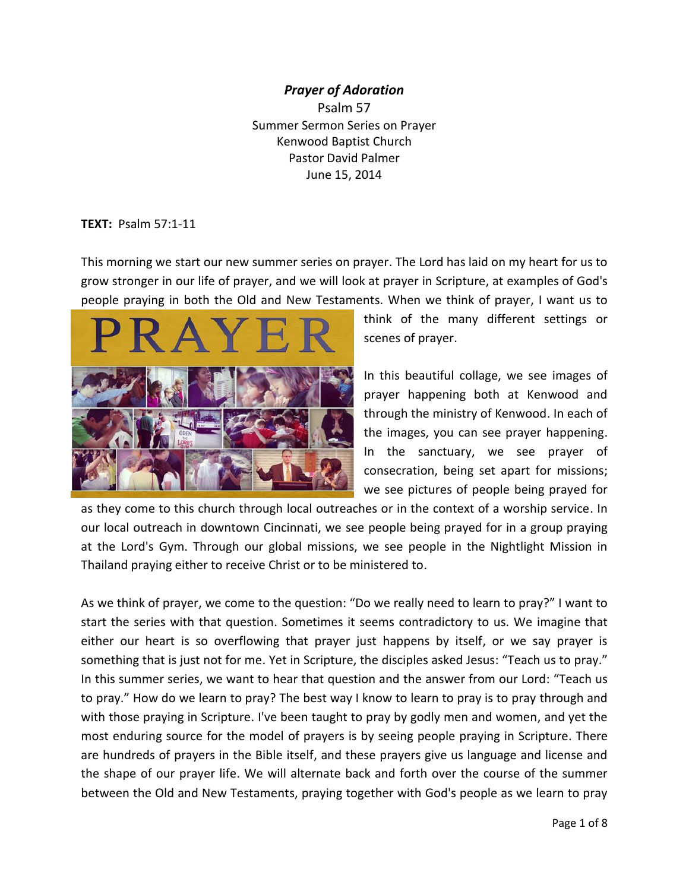#### *Prayer of Adoration*

Psalm 57 Summer Sermon Series on Prayer Kenwood Baptist Church Pastor David Palmer June 15, 2014

#### **TEXT:** Psalm 57:1-11

This morning we start our new summer series on prayer. The Lord has laid on my heart for us to grow stronger in our life of prayer, and we will look at prayer in Scripture, at examples of God's people praying in both the Old and New Testaments. When we think of prayer, I want us to



think of the many different settings or scenes of prayer.

In this beautiful collage, we see images of prayer happening both at Kenwood and through the ministry of Kenwood. In each of the images, you can see prayer happening. In the sanctuary, we see prayer of consecration, being set apart for missions; we see pictures of people being prayed for

as they come to this church through local outreaches or in the context of a worship service. In our local outreach in downtown Cincinnati, we see people being prayed for in a group praying at the Lord's Gym. Through our global missions, we see people in the Nightlight Mission in Thailand praying either to receive Christ or to be ministered to.

As we think of prayer, we come to the question: "Do we really need to learn to pray?" I want to start the series with that question. Sometimes it seems contradictory to us. We imagine that either our heart is so overflowing that prayer just happens by itself, or we say prayer is something that is just not for me. Yet in Scripture, the disciples asked Jesus: "Teach us to pray." In this summer series, we want to hear that question and the answer from our Lord: "Teach us to pray." How do we learn to pray? The best way I know to learn to pray is to pray through and with those praying in Scripture. I've been taught to pray by godly men and women, and yet the most enduring source for the model of prayers is by seeing people praying in Scripture. There are hundreds of prayers in the Bible itself, and these prayers give us language and license and the shape of our prayer life. We will alternate back and forth over the course of the summer between the Old and New Testaments, praying together with God's people as we learn to pray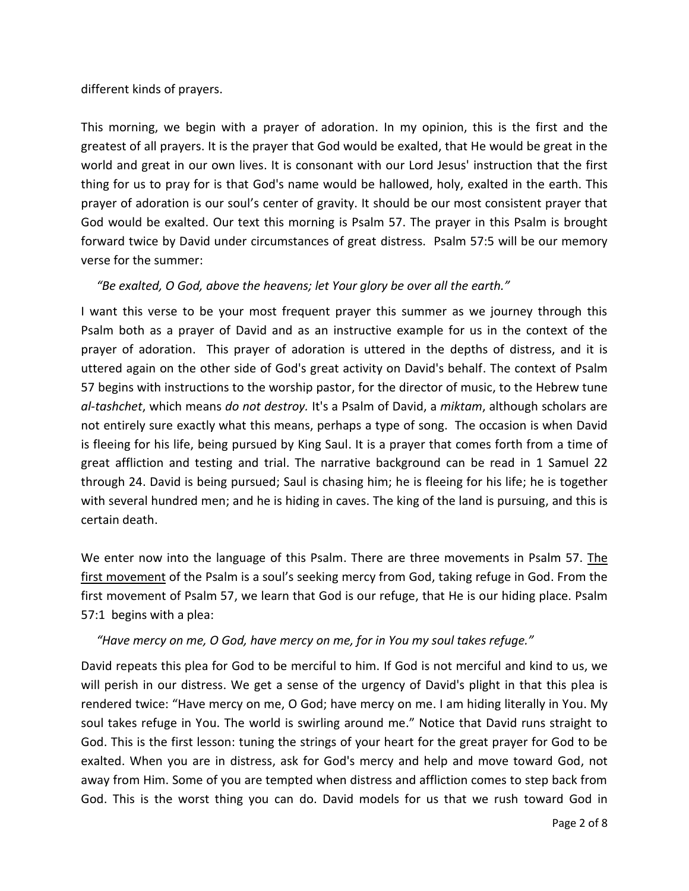#### different kinds of prayers.

This morning, we begin with a prayer of adoration. In my opinion, this is the first and the greatest of all prayers. It is the prayer that God would be exalted, that He would be great in the world and great in our own lives. It is consonant with our Lord Jesus' instruction that the first thing for us to pray for is that God's name would be hallowed, holy, exalted in the earth. This prayer of adoration is our soul's center of gravity. It should be our most consistent prayer that God would be exalted. Our text this morning is Psalm 57. The prayer in this Psalm is brought forward twice by David under circumstances of great distress. Psalm 57:5 will be our memory verse for the summer:

#### *"Be exalted, O God, above the heavens; let Your glory be over all the earth."*

I want this verse to be your most frequent prayer this summer as we journey through this Psalm both as a prayer of David and as an instructive example for us in the context of the prayer of adoration. This prayer of adoration is uttered in the depths of distress, and it is uttered again on the other side of God's great activity on David's behalf. The context of Psalm 57 begins with instructions to the worship pastor, for the director of music, to the Hebrew tune *al-tashchet*, which means *do not destroy.* It's a Psalm of David, a *miktam*, although scholars are not entirely sure exactly what this means, perhaps a type of song. The occasion is when David is fleeing for his life, being pursued by King Saul. It is a prayer that comes forth from a time of great affliction and testing and trial. The narrative background can be read in 1 Samuel 22 through 24. David is being pursued; Saul is chasing him; he is fleeing for his life; he is together with several hundred men; and he is hiding in caves. The king of the land is pursuing, and this is certain death.

We enter now into the language of this Psalm. There are three movements in Psalm 57. The first movement of the Psalm is a soul's seeking mercy from God, taking refuge in God. From the first movement of Psalm 57, we learn that God is our refuge, that He is our hiding place. Psalm 57:1 begins with a plea:

#### *"Have mercy on me, O God, have mercy on me, for in You my soul takes refuge."*

David repeats this plea for God to be merciful to him. If God is not merciful and kind to us, we will perish in our distress. We get a sense of the urgency of David's plight in that this plea is rendered twice: "Have mercy on me, O God; have mercy on me. I am hiding literally in You. My soul takes refuge in You. The world is swirling around me." Notice that David runs straight to God. This is the first lesson: tuning the strings of your heart for the great prayer for God to be exalted. When you are in distress, ask for God's mercy and help and move toward God, not away from Him. Some of you are tempted when distress and affliction comes to step back from God. This is the worst thing you can do. David models for us that we rush toward God in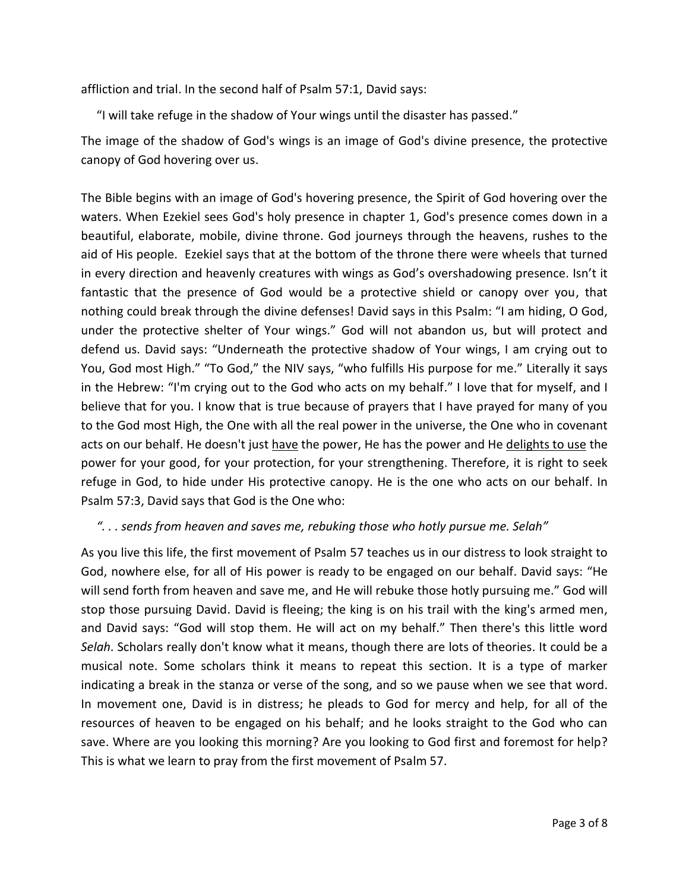affliction and trial. In the second half of Psalm 57:1, David says:

"I will take refuge in the shadow of Your wings until the disaster has passed."

The image of the shadow of God's wings is an image of God's divine presence, the protective canopy of God hovering over us.

The Bible begins with an image of God's hovering presence, the Spirit of God hovering over the waters. When Ezekiel sees God's holy presence in chapter 1, God's presence comes down in a beautiful, elaborate, mobile, divine throne. God journeys through the heavens, rushes to the aid of His people. Ezekiel says that at the bottom of the throne there were wheels that turned in every direction and heavenly creatures with wings as God's overshadowing presence. Isn't it fantastic that the presence of God would be a protective shield or canopy over you, that nothing could break through the divine defenses! David says in this Psalm: "I am hiding, O God, under the protective shelter of Your wings." God will not abandon us, but will protect and defend us. David says: "Underneath the protective shadow of Your wings, I am crying out to You, God most High." "To God," the NIV says, "who fulfills His purpose for me." Literally it says in the Hebrew: "I'm crying out to the God who acts on my behalf." I love that for myself, and I believe that for you. I know that is true because of prayers that I have prayed for many of you to the God most High, the One with all the real power in the universe, the One who in covenant acts on our behalf. He doesn't just have the power, He has the power and He delights to use the power for your good, for your protection, for your strengthening. Therefore, it is right to seek refuge in God, to hide under His protective canopy. He is the one who acts on our behalf. In Psalm 57:3, David says that God is the One who:

## *". . . sends from heaven and saves me, rebuking those who hotly pursue me. Selah"*

As you live this life, the first movement of Psalm 57 teaches us in our distress to look straight to God, nowhere else, for all of His power is ready to be engaged on our behalf. David says: "He will send forth from heaven and save me, and He will rebuke those hotly pursuing me." God will stop those pursuing David. David is fleeing; the king is on his trail with the king's armed men, and David says: "God will stop them. He will act on my behalf." Then there's this little word *Selah*. Scholars really don't know what it means, though there are lots of theories. It could be a musical note. Some scholars think it means to repeat this section. It is a type of marker indicating a break in the stanza or verse of the song, and so we pause when we see that word. In movement one, David is in distress; he pleads to God for mercy and help, for all of the resources of heaven to be engaged on his behalf; and he looks straight to the God who can save. Where are you looking this morning? Are you looking to God first and foremost for help? This is what we learn to pray from the first movement of Psalm 57.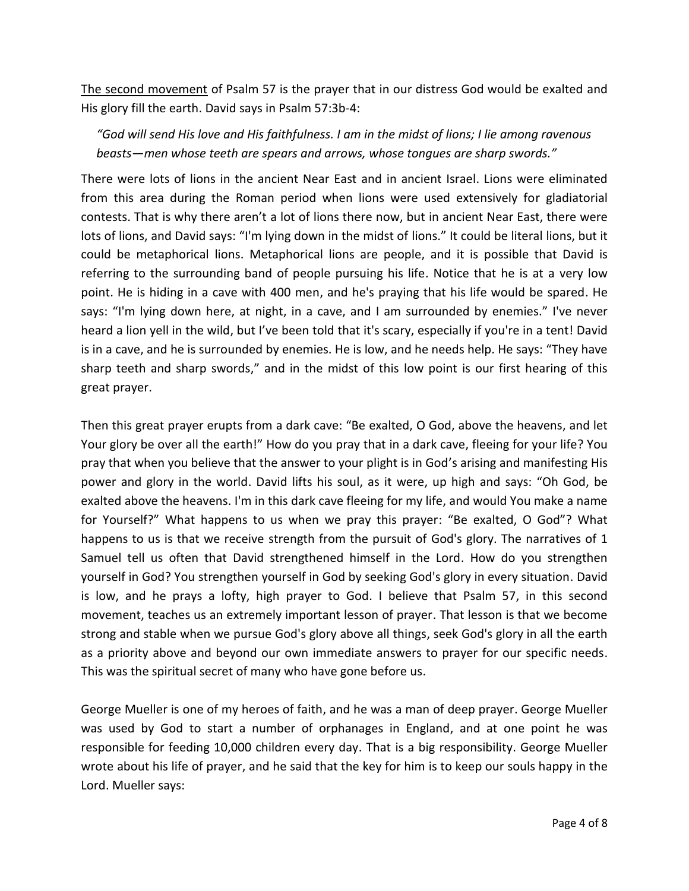The second movement of Psalm 57 is the prayer that in our distress God would be exalted and His glory fill the earth. David says in Psalm 57:3b-4:

 *"God will send His love and His faithfulness. I am in the midst of lions; I lie among ravenous beasts—men whose teeth are spears and arrows, whose tongues are sharp swords."*

There were lots of lions in the ancient Near East and in ancient Israel. Lions were eliminated from this area during the Roman period when lions were used extensively for gladiatorial contests. That is why there aren't a lot of lions there now, but in ancient Near East, there were lots of lions, and David says: "I'm lying down in the midst of lions." It could be literal lions, but it could be metaphorical lions. Metaphorical lions are people, and it is possible that David is referring to the surrounding band of people pursuing his life. Notice that he is at a very low point. He is hiding in a cave with 400 men, and he's praying that his life would be spared. He says: "I'm lying down here, at night, in a cave, and I am surrounded by enemies." I've never heard a lion yell in the wild, but I've been told that it's scary, especially if you're in a tent! David is in a cave, and he is surrounded by enemies. He is low, and he needs help. He says: "They have sharp teeth and sharp swords," and in the midst of this low point is our first hearing of this great prayer.

Then this great prayer erupts from a dark cave: "Be exalted, O God, above the heavens, and let Your glory be over all the earth!" How do you pray that in a dark cave, fleeing for your life? You pray that when you believe that the answer to your plight is in God's arising and manifesting His power and glory in the world. David lifts his soul, as it were, up high and says: "Oh God, be exalted above the heavens. I'm in this dark cave fleeing for my life, and would You make a name for Yourself?" What happens to us when we pray this prayer: "Be exalted, O God"? What happens to us is that we receive strength from the pursuit of God's glory. The narratives of 1 Samuel tell us often that David strengthened himself in the Lord. How do you strengthen yourself in God? You strengthen yourself in God by seeking God's glory in every situation. David is low, and he prays a lofty, high prayer to God. I believe that Psalm 57, in this second movement, teaches us an extremely important lesson of prayer. That lesson is that we become strong and stable when we pursue God's glory above all things, seek God's glory in all the earth as a priority above and beyond our own immediate answers to prayer for our specific needs. This was the spiritual secret of many who have gone before us.

George Mueller is one of my heroes of faith, and he was a man of deep prayer. George Mueller was used by God to start a number of orphanages in England, and at one point he was responsible for feeding 10,000 children every day. That is a big responsibility. George Mueller wrote about his life of prayer, and he said that the key for him is to keep our souls happy in the Lord. Mueller says: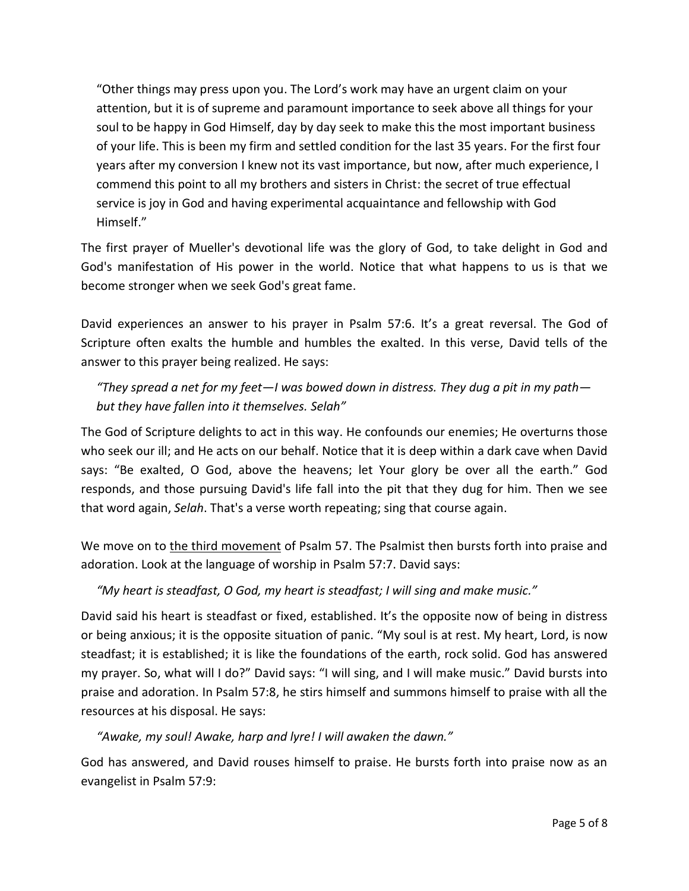"Other things may press upon you. The Lord's work may have an urgent claim on your attention, but it is of supreme and paramount importance to seek above all things for your soul to be happy in God Himself, day by day seek to make this the most important business of your life. This is been my firm and settled condition for the last 35 years. For the first four years after my conversion I knew not its vast importance, but now, after much experience, I commend this point to all my brothers and sisters in Christ: the secret of true effectual service is joy in God and having experimental acquaintance and fellowship with God Himself."

The first prayer of Mueller's devotional life was the glory of God, to take delight in God and God's manifestation of His power in the world. Notice that what happens to us is that we become stronger when we seek God's great fame.

David experiences an answer to his prayer in Psalm 57:6. It's a great reversal. The God of Scripture often exalts the humble and humbles the exalted. In this verse, David tells of the answer to this prayer being realized. He says:

# *"They spread a net for my feet—I was bowed down in distress. They dug a pit in my path but they have fallen into it themselves. Selah"*

The God of Scripture delights to act in this way. He confounds our enemies; He overturns those who seek our ill; and He acts on our behalf. Notice that it is deep within a dark cave when David says: "Be exalted, O God, above the heavens; let Your glory be over all the earth." God responds, and those pursuing David's life fall into the pit that they dug for him. Then we see that word again, *Selah*. That's a verse worth repeating; sing that course again.

We move on to the third movement of Psalm 57. The Psalmist then bursts forth into praise and adoration. Look at the language of worship in Psalm 57:7. David says:

## *"My heart is steadfast, O God, my heart is steadfast; I will sing and make music."*

David said his heart is steadfast or fixed, established. It's the opposite now of being in distress or being anxious; it is the opposite situation of panic. "My soul is at rest. My heart, Lord, is now steadfast; it is established; it is like the foundations of the earth, rock solid. God has answered my prayer. So, what will I do?" David says: "I will sing, and I will make music." David bursts into praise and adoration. In Psalm 57:8, he stirs himself and summons himself to praise with all the resources at his disposal. He says:

## *"Awake, my soul! Awake, harp and lyre! I will awaken the dawn."*

God has answered, and David rouses himself to praise. He bursts forth into praise now as an evangelist in Psalm 57:9: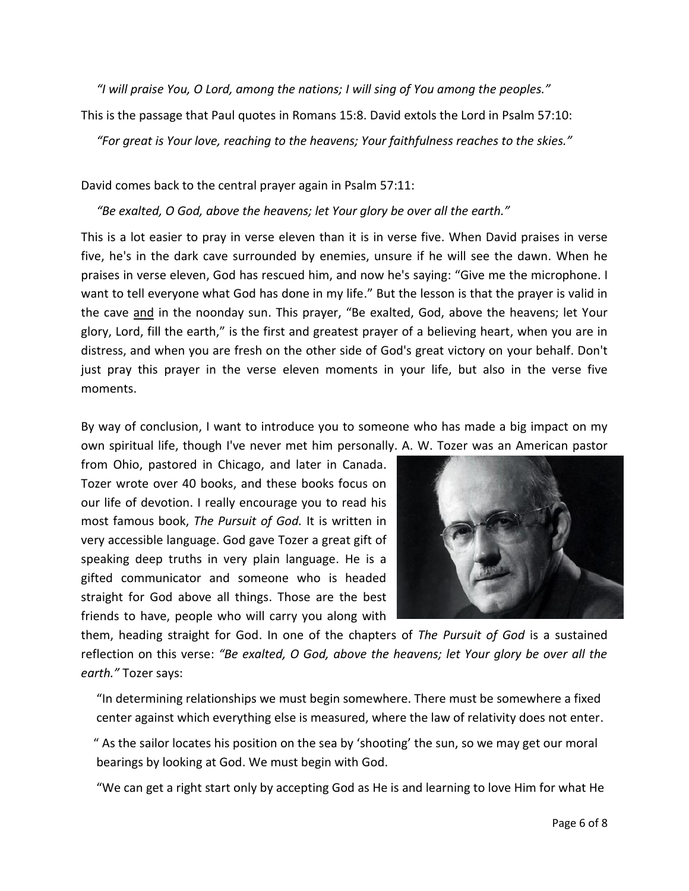*"I will praise You, O Lord, among the nations; I will sing of You among the peoples."*

This is the passage that Paul quotes in Romans 15:8. David extols the Lord in Psalm 57:10:

*"For great is Your love, reaching to the heavens; Your faithfulness reaches to the skies."*

David comes back to the central prayer again in Psalm 57:11:

*"Be exalted, O God, above the heavens; let Your glory be over all the earth."*

This is a lot easier to pray in verse eleven than it is in verse five. When David praises in verse five, he's in the dark cave surrounded by enemies, unsure if he will see the dawn. When he praises in verse eleven, God has rescued him, and now he's saying: "Give me the microphone. I want to tell everyone what God has done in my life." But the lesson is that the prayer is valid in the cave and in the noonday sun. This prayer, "Be exalted, God, above the heavens; let Your glory, Lord, fill the earth," is the first and greatest prayer of a believing heart, when you are in distress, and when you are fresh on the other side of God's great victory on your behalf. Don't just pray this prayer in the verse eleven moments in your life, but also in the verse five moments.

By way of conclusion, I want to introduce you to someone who has made a big impact on my own spiritual life, though I've never met him personally. A. W. Tozer was an American pastor

from Ohio, pastored in Chicago, and later in Canada. Tozer wrote over 40 books, and these books focus on our life of devotion. I really encourage you to read his most famous book, *The Pursuit of God.* It is written in very accessible language. God gave Tozer a great gift of speaking deep truths in very plain language. He is a gifted communicator and someone who is headed straight for God above all things. Those are the best friends to have, people who will carry you along with



them, heading straight for God. In one of the chapters of *The Pursuit of God* is a sustained reflection on this verse: *"Be exalted, O God, above the heavens; let Your glory be over all the earth."* Tozer says:

 "In determining relationships we must begin somewhere. There must be somewhere a fixed center against which everything else is measured, where the law of relativity does not enter.

 " As the sailor locates his position on the sea by 'shooting' the sun, so we may get our moral bearings by looking at God. We must begin with God.

"We can get a right start only by accepting God as He is and learning to love Him for what He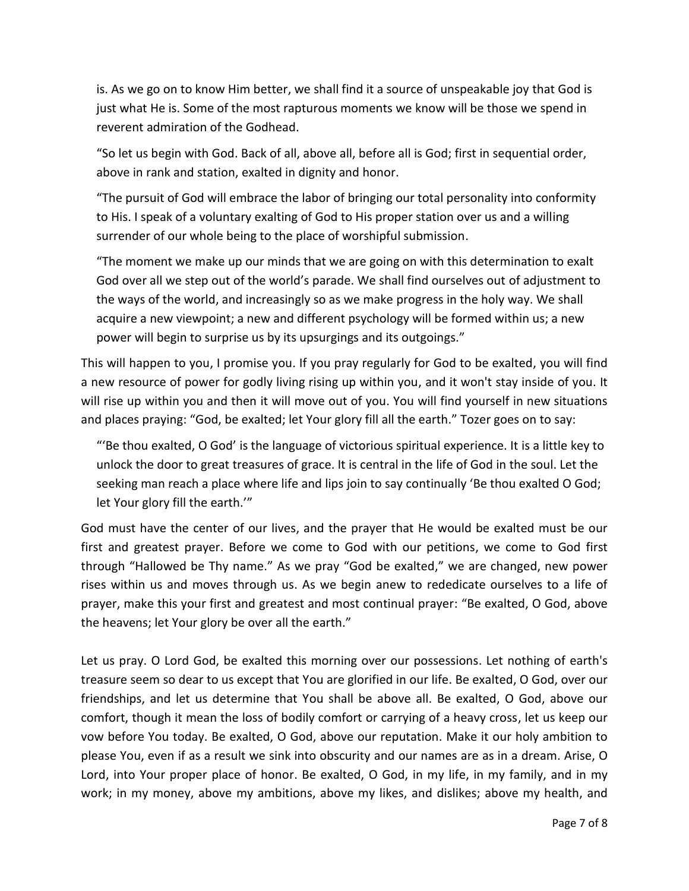is. As we go on to know Him better, we shall find it a source of unspeakable joy that God is just what He is. Some of the most rapturous moments we know will be those we spend in reverent admiration of the Godhead.

 "So let us begin with God. Back of all, above all, before all is God; first in sequential order, above in rank and station, exalted in dignity and honor.

 "The pursuit of God will embrace the labor of bringing our total personality into conformity to His. I speak of a voluntary exalting of God to His proper station over us and a willing surrender of our whole being to the place of worshipful submission.

 "The moment we make up our minds that we are going on with this determination to exalt God over all we step out of the world's parade. We shall find ourselves out of adjustment to the ways of the world, and increasingly so as we make progress in the holy way. We shall acquire a new viewpoint; a new and different psychology will be formed within us; a new power will begin to surprise us by its upsurgings and its outgoings."

This will happen to you, I promise you. If you pray regularly for God to be exalted, you will find a new resource of power for godly living rising up within you, and it won't stay inside of you. It will rise up within you and then it will move out of you. You will find yourself in new situations and places praying: "God, be exalted; let Your glory fill all the earth." Tozer goes on to say:

 "'Be thou exalted, O God' is the language of victorious spiritual experience. It is a little key to unlock the door to great treasures of grace. It is central in the life of God in the soul. Let the seeking man reach a place where life and lips join to say continually 'Be thou exalted O God; let Your glory fill the earth.'"

God must have the center of our lives, and the prayer that He would be exalted must be our first and greatest prayer. Before we come to God with our petitions, we come to God first through "Hallowed be Thy name." As we pray "God be exalted," we are changed, new power rises within us and moves through us. As we begin anew to rededicate ourselves to a life of prayer, make this your first and greatest and most continual prayer: "Be exalted, O God, above the heavens; let Your glory be over all the earth."

Let us pray. O Lord God, be exalted this morning over our possessions. Let nothing of earth's treasure seem so dear to us except that You are glorified in our life. Be exalted, O God, over our friendships, and let us determine that You shall be above all. Be exalted, O God, above our comfort, though it mean the loss of bodily comfort or carrying of a heavy cross, let us keep our vow before You today. Be exalted, O God, above our reputation. Make it our holy ambition to please You, even if as a result we sink into obscurity and our names are as in a dream. Arise, O Lord, into Your proper place of honor. Be exalted, O God, in my life, in my family, and in my work; in my money, above my ambitions, above my likes, and dislikes; above my health, and